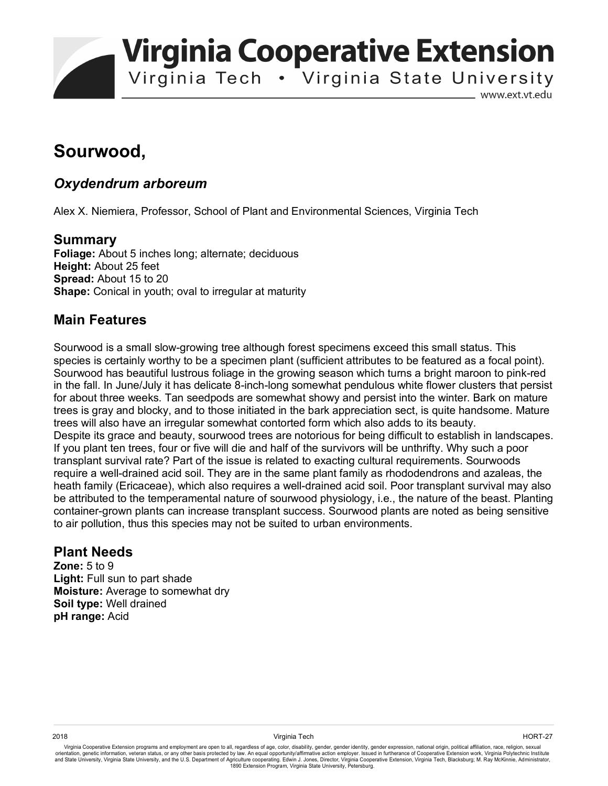**Virginia Cooperative Extension** 

Virginia Tech . Virginia State University

www.ext.vt.edu

# **Sourwood,**

#### *Oxydendrum arboreum*

Alex X. Niemiera, Professor, School of Plant and Environmental Sciences, Virginia Tech

#### **Summary**

**Foliage:** About 5 inches long; alternate; deciduous **Height:** About 25 feet **Spread:** About 15 to 20 **Shape:** Conical in youth; oval to irregular at maturity

#### **Main Features**

Sourwood is a small slow-growing tree although forest specimens exceed this small status. This species is certainly worthy to be a specimen plant (sufficient attributes to be featured as a focal point). Sourwood has beautiful lustrous foliage in the growing season which turns a bright maroon to pink-red in the fall. In June/July it has delicate 8-inch-long somewhat pendulous white flower clusters that persist for about three weeks. Tan seedpods are somewhat showy and persist into the winter. Bark on mature trees is gray and blocky, and to those initiated in the bark appreciation sect, is quite handsome. Mature trees will also have an irregular somewhat contorted form which also adds to its beauty. Despite its grace and beauty, sourwood trees are notorious for being difficult to establish in landscapes. If you plant ten trees, four or five will die and half of the survivors will be unthrifty. Why such a poor transplant survival rate? Part of the issue is related to exacting cultural requirements. Sourwoods require a well-drained acid soil. They are in the same plant family as rhododendrons and azaleas, the heath family (Ericaceae), which also requires a well-drained acid soil. Poor transplant survival may also be attributed to the temperamental nature of sourwood physiology, i.e., the nature of the beast. Planting container-grown plants can increase transplant success. Sourwood plants are noted as being sensitive to air pollution, thus this species may not be suited to urban environments.

#### **Plant Needs**

**Zone:** 5 to 9 Light: Full sun to part shade **Moisture:** Average to somewhat dry **Soil type:** Well drained **pH range:** Acid

Virginia Cooperative Extension programs and employment are open to all, regardless of age, color, disability, gender, gender identity, gender expression, national origin, political affiliation, race, religion, sexual orientation, genetic information, veteran status, or any other basis protected by law. An equal opportunity/affirmative action employer. Issued in furtherance of Cooperative Extension work, Virginia Polytechnic Institute<br>a 1890 Extension Program, Virginia State University, Petersburg.